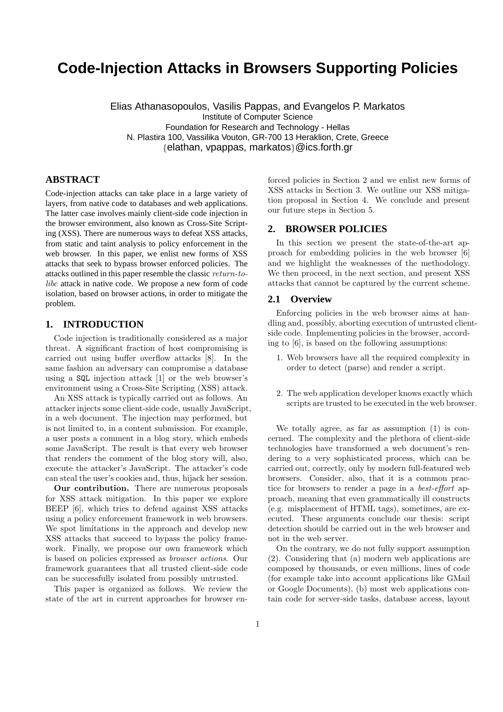# **Code-Injection Attacks in Browsers Supporting Policies**

Elias Athanasopoulos, Vasilis Pappas, and Evangelos P. Markatos Institute of Computer Science Foundation for Research and Technology - Hellas N. Plastira 100, Vassilika Vouton, GR-700 13 Heraklion, Crete, Greece {elathan, vpappas, markatos}@ics.forth.gr

## **ABSTRACT**

Code-injection attacks can take place in a large variety of layers, from native code to databases and web applications. The latter case involves mainly client-side code injection in the browser environment, also known as Cross-Site Scripting (XSS). There are numerous ways to defeat XSS attacks, from static and taint analysis to policy enforcement in the web browser. In this paper, we enlist new forms of XSS attacks that seek to bypass browser enforced policies. The attacks outlined in this paper resemble the classic return-tolibc attack in native code. We propose a new form of code isolation, based on browser actions, in order to mitigate the problem.

# **1. INTRODUCTION**

Code injection is traditionally considered as a major threat. A significant fraction of host compromising is carried out using buffer overflow attacks [8]. In the same fashion an adversary can compromise a database using a SQL injection attack [1] or the web browser's environment using a Cross-Site Scripting (XSS) attack.

An XSS attack is typically carried out as follows. An attacker injects some client-side code, usually JavaScript, in a web document. The injection may performed, but is not limited to, in a content submission. For example, a user posts a comment in a blog story, which embeds some JavaScript. The result is that every web browser that renders the comment of the blog story will, also, execute the attacker's JavaScript. The attacker's code can steal the user's cookies and, thus, hijack her session.

Our contribution. There are numerous proposals for XSS attack mitigation. In this paper we explore BEEP [6], which tries to defend against XSS attacks using a policy enforcement framework in web browsers. We spot limitations in the approach and develop new XSS attacks that succeed to bypass the policy framework. Finally, we propose our own framework which is based on policies expressed as browser actions. Our framework guarantees that all trusted client-side code can be successfully isolated from possibly untrusted.

This paper is organized as follows. We review the state of the art in current approaches for browser enforced policies in Section 2 and we enlist new forms of XSS attacks in Section 3. We outline our XSS mitigation proposal in Section 4. We conclude and present our future steps in Section 5.

# **2. BROWSER POLICIES**

In this section we present the state-of-the-art approach for embedding policies in the web browser [6] and we highlight the weaknesses of the methodology. We then proceed, in the next section, and present XSS attacks that cannot be captured by the current scheme.

### **2.1 Overview**

Enforcing policies in the web browser aims at handling and, possibly, aborting execution of untrusted clientside code. Implementing policies in the browser, according to [6], is based on the following assumptions:

- 1. Web browsers have all the required complexity in order to detect (parse) and render a script.
- 2. The web application developer knows exactly which scripts are trusted to be executed in the web browser.

We totally agree, as far as assumption (1) is concerned. The complexity and the plethora of client-side technologies have transformed a web document's rendering to a very sophisticated process, which can be carried out, correctly, only by modern full-featured web browsers. Consider, also, that it is a common practice for browsers to render a page in a best-effort approach, meaning that even grammatically ill constructs (e.g. misplacement of HTML tags), sometimes, are executed. These arguments conclude our thesis: script detection should be carried out in the web browser and not in the web server.

On the contrary, we do not fully support assumption (2). Considering that (a) modern web applications are composed by thousands, or even millions, lines of code (for example take into account applications like GMail or Google Documents), (b) most web applications contain code for server-side tasks, database access, layout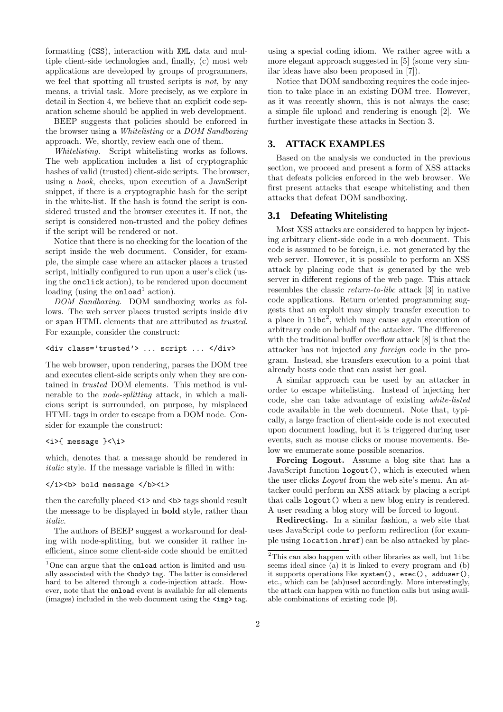formatting (CSS), interaction with XML data and multiple client-side technologies and, finally, (c) most web applications are developed by groups of programmers, we feel that spotting all trusted scripts is not, by any means, a trivial task. More precisely, as we explore in detail in Section 4, we believe that an explicit code separation scheme should be applied in web development.

BEEP suggests that policies should be enforced in the browser using a Whitelisting or a DOM Sandboxing approach. We, shortly, review each one of them.

Whitelisting. Script whitelisting works as follows. The web application includes a list of cryptographic hashes of valid (trusted) client-side scripts. The browser, using a hook, checks, upon execution of a JavaScript snippet, if there is a cryptographic hash for the script in the white-list. If the hash is found the script is considered trusted and the browser executes it. If not, the script is considered non-trusted and the policy defines if the script will be rendered or not.

Notice that there is no checking for the location of the script inside the web document. Consider, for example, the simple case where an attacker places a trusted script, initially configured to run upon a user's click (using the onclick action), to be rendered upon document loading (using the onload<sup>1</sup> action).

DOM Sandboxing. DOM sandboxing works as follows. The web server places trusted scripts inside div or span HTML elements that are attributed as trusted. For example, consider the construct:

### <div class='trusted'> ... script ... </div>

The web browser, upon rendering, parses the DOM tree and executes client-side scripts only when they are contained in trusted DOM elements. This method is vulnerable to the node-splitting attack, in which a malicious script is surrounded, on purpose, by misplaced HTML tags in order to escape from a DOM node. Consider for example the construct:

#### <i>{ message }<\i>

which, denotes that a message should be rendered in italic style. If the message variable is filled in with:

### </i><b> bold message </b><i>

then the carefully placed  $\leq i$  and  $\leq b$  tags should result the message to be displayed in bold style, rather than italic.

The authors of BEEP suggest a workaround for dealing with node-splitting, but we consider it rather inefficient, since some client-side code should be emitted

using a special coding idiom. We rather agree with a more elegant approach suggested in [5] (some very similar ideas have also been proposed in [7]).

Notice that DOM sandboxing requires the code injection to take place in an existing DOM tree. However, as it was recently shown, this is not always the case; a simple file upload and rendering is enough [2]. We further investigate these attacks in Section 3.

# **3. ATTACK EXAMPLES**

Based on the analysis we conducted in the previous section, we proceed and present a form of XSS attacks that defeats policies enforced in the web browser. We first present attacks that escape whitelisting and then attacks that defeat DOM sandboxing.

### **3.1 Defeating Whitelisting**

Most XSS attacks are considered to happen by injecting arbitrary client-side code in a web document. This code is assumed to be foreign, i.e. not generated by the web server. However, it is possible to perform an XSS attack by placing code that is generated by the web server in different regions of the web page. This attack resembles the classic return-to-libc attack [3] in native code applications. Return oriented programming suggests that an exploit may simply transfer execution to a place in  $\text{libc}^2$ , which may cause again execution of arbitrary code on behalf of the attacker. The difference with the traditional buffer overflow attack [8] is that the attacker has not injected any foreign code in the program. Instead, she transfers execution to a point that already hosts code that can assist her goal.

A similar approach can be used by an attacker in order to escape whitelisting. Instead of injecting her code, she can take advantage of existing white-listed code available in the web document. Note that, typically, a large fraction of client-side code is not executed upon document loading, but it is triggered during user events, such as mouse clicks or mouse movements. Below we enumerate some possible scenarios.

Forcing Logout. Assume a blog site that has a JavaScript function logout(), which is executed when the user clicks Logout from the web site's menu. An attacker could perform an XSS attack by placing a script that calls logout() when a new blog entry is rendered. A user reading a blog story will be forced to logout.

Redirecting. In a similar fashion, a web site that uses JavaScript code to perform redirection (for example using location.href) can be also attacked by plac-

<sup>&</sup>lt;sup>1</sup>One can argue that the **onload** action is limited and usually associated with the <br/>body>tag. The latter is considered hard to be altered through a code-injection attack. However, note that the onload event is available for all elements (images) included in the web document using the  $\langle \text{img} \rangle$  tag.

 $\overline{\text{^{2}This}}$  can also happen with other libraries as well, but  $\texttt{libc}$ seems ideal since (a) it is linked to every program and (b) it supports operations like system(), exec(), adduser(), etc., which can be (ab)used accordingly. More interestingly, the attack can happen with no function calls but using available combinations of existing code [9].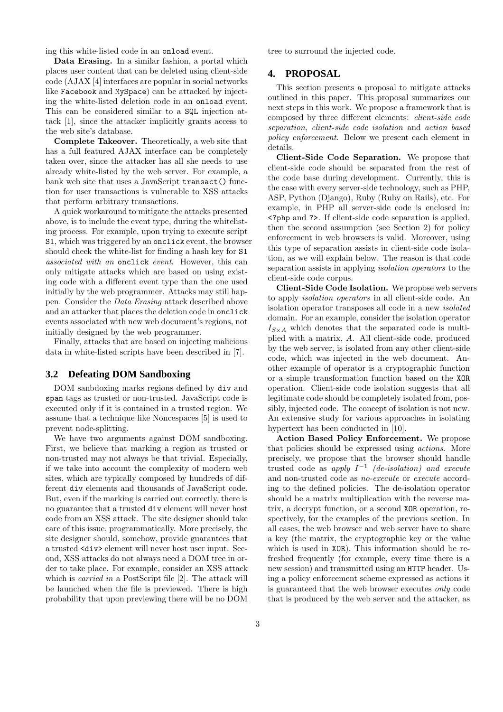ing this white-listed code in an onload event.

Data Erasing. In a similar fashion, a portal which places user content that can be deleted using client-side code (AJAX [4] interfaces are popular in social networks like Facebook and MySpace) can be attacked by injecting the white-listed deletion code in an onload event. This can be considered similar to a SQL injection attack [1], since the attacker implicitly grants access to the web site's database.

Complete Takeover. Theoretically, a web site that has a full featured AJAX interface can be completely taken over, since the attacker has all she needs to use already white-listed by the web server. For example, a bank web site that uses a JavaScript transact() function for user transactions is vulnerable to XSS attacks that perform arbitrary transactions.

A quick workaround to mitigate the attacks presented above, is to include the event type, during the whitelisting process. For example, upon trying to execute script S1, which was triggered by an onclick event, the browser should check the white-list for finding a hash key for S1 associated with an onclick event. However, this can only mitigate attacks which are based on using existing code with a different event type than the one used initially by the web programmer. Attacks may still happen. Consider the Data Erasing attack described above and an attacker that places the deletion code in onclick events associated with new web document's regions, not initially designed by the web programmer.

Finally, attacks that are based on injecting malicious data in white-listed scripts have been described in [7].

### **3.2 Defeating DOM Sandboxing**

DOM sanbdoxing marks regions defined by div and span tags as trusted or non-trusted. JavaScript code is executed only if it is contained in a trusted region. We assume that a technique like Noncespaces [5] is used to prevent node-splitting.

We have two arguments against DOM sandboxing. First, we believe that marking a region as trusted or non-trusted may not always be that trivial. Especially, if we take into account the complexity of modern web sites, which are typically composed by hundreds of different div elements and thousands of JavaScript code. But, even if the marking is carried out correctly, there is no guarantee that a trusted div element will never host code from an XSS attack. The site designer should take care of this issue, programmatically. More precisely, the site designer should, somehow, provide guarantees that a trusted <div> element will never host user input. Second, XSS attacks do not always need a DOM tree in order to take place. For example, consider an XSS attack which is *carried in* a PostScript file [2]. The attack will be launched when the file is previewed. There is high probability that upon previewing there will be no DOM tree to surround the injected code.

### **4. PROPOSAL**

This section presents a proposal to mitigate attacks outlined in this paper. This proposal summarizes our next steps in this work. We propose a framework that is composed by three different elements: client-side code separation, client-side code isolation and action based policy enforcement. Below we present each element in details.

Client-Side Code Separation. We propose that client-side code should be separated from the rest of the code base during development. Currently, this is the case with every server-side technology, such as PHP, ASP, Python (Django), Ruby (Ruby on Rails), etc. For example, in PHP all server-side code is enclosed in: <?php and ?>. If client-side code separation is applied, then the second assumption (see Section 2) for policy enforcement in web browsers is valid. Moreover, using this type of separation assists in client-side code isolation, as we will explain below. The reason is that code separation assists in applying isolation operators to the client-side code corpus.

Client-Side Code Isolation. We propose web servers to apply isolation operators in all client-side code. An isolation operator transposes all code in a new isolated domain. For an example, consider the isolation operator  $I_{S\times A}$  which denotes that the separated code is multiplied with a matrix, A. All client-side code, produced by the web server, is isolated from any other client-side code, which was injected in the web document. Another example of operator is a cryptographic function or a simple transformation function based on the XOR operation. Client-side code isolation suggests that all legitimate code should be completely isolated from, possibly, injected code. The concept of isolation is not new. An extensive study for various approaches in isolating hypertext has been conducted in [10].

Action Based Policy Enforcement. We propose that policies should be expressed using actions. More precisely, we propose that the browser should handle trusted code as apply  $I^{-1}$  (de-isolation) and execute and non-trusted code as no-execute or execute according to the defined policies. The de-isolation operator should be a matrix multiplication with the reverse matrix, a decrypt function, or a second XOR operation, respectively, for the examples of the previous section. In all cases, the web browser and web server have to share a key (the matrix, the cryptographic key or the value which is used in XOR). This information should be refreshed frequently (for example, every time there is a new session) and transmitted using an HTTP header. Using a policy enforcement scheme expressed as actions it is guaranteed that the web browser executes only code that is produced by the web server and the attacker, as